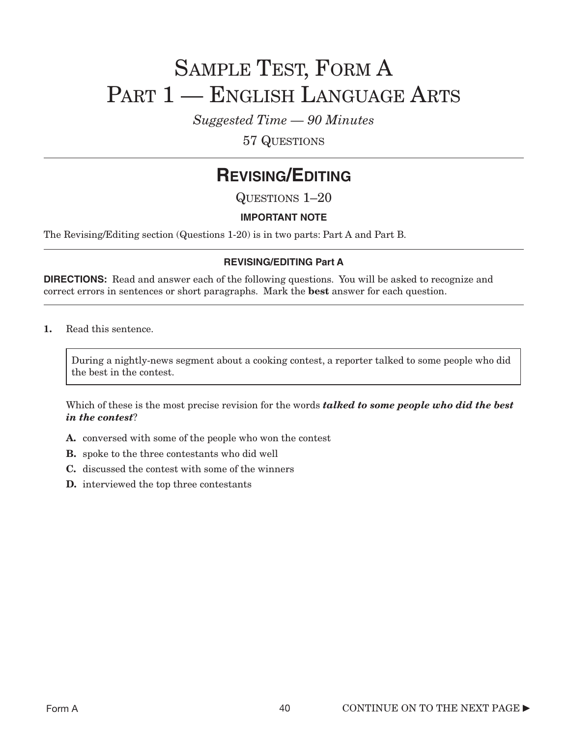# SAMPLE TEST, FORM A PART 1 — ENGLISH LANGUAGE ARTS

*Suggested Time — 90 Minutes*

57 QUESTIONS

### **REVISING/EDITING**

QUESTIONS 1–20

### **IMPORTANT NOTE**

The Revising/Editing section (Questions 1-20) is in two parts: Part A and Part B.

### **REVISING/EDITING Part A**

**DIRECTIONS:** Read and answer each of the following questions. You will be asked to recognize and correct errors in sentences or short paragraphs. Mark the best answer for each question.

1. Read this sentence.

During a nightly-news segment about a cooking contest, a reporter talked to some people who did the best in the contest.

Which of these is the most precise revision for the words *talked to some people who did the best in the contest*?

- A. conversed with some of the people who won the contest
- B. spoke to the three contestants who did well
- C. discussed the contest with some of the winners
- D. interviewed the top three contestants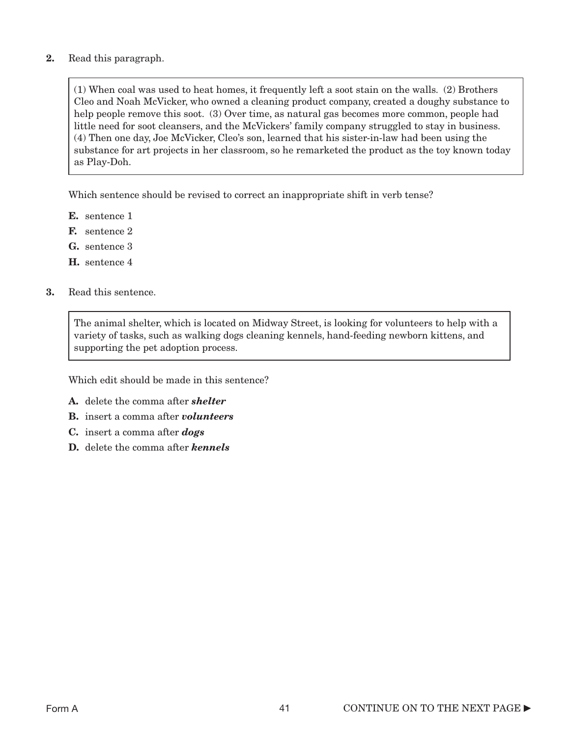### 2. Read this paragraph.

(1) When coal was used to heat homes, it frequently left a soot stain on the walls. (2) Brothers Cleo and Noah McVicker, who owned a cleaning product company, created a doughy substance to help people remove this soot. (3) Over time, as natural gas becomes more common, people had little need for soot cleansers, and the McVickers' family company struggled to stay in business. (4) Then one day, Joe McVicker, Cleo's son, learned that his sister-in-law had been using the substance for art projects in her classroom, so he remarketed the product as the toy known today as Play-Doh.

Which sentence should be revised to correct an inappropriate shift in verb tense?

- E. sentence 1
- F. sentence 2
- G. sentence 3
- H. sentence 4
- 3. Read this sentence.

The animal shelter, which is located on Midway Street, is looking for volunteers to help with a variety of tasks, such as walking dogs cleaning kennels, hand-feeding newborn kittens, and supporting the pet adoption process.

Which edit should be made in this sentence?

- A. delete the comma after *shelter*
- B. insert a comma after *volunteers*
- C. insert a comma after *dogs*
- D. delete the comma after *kennels*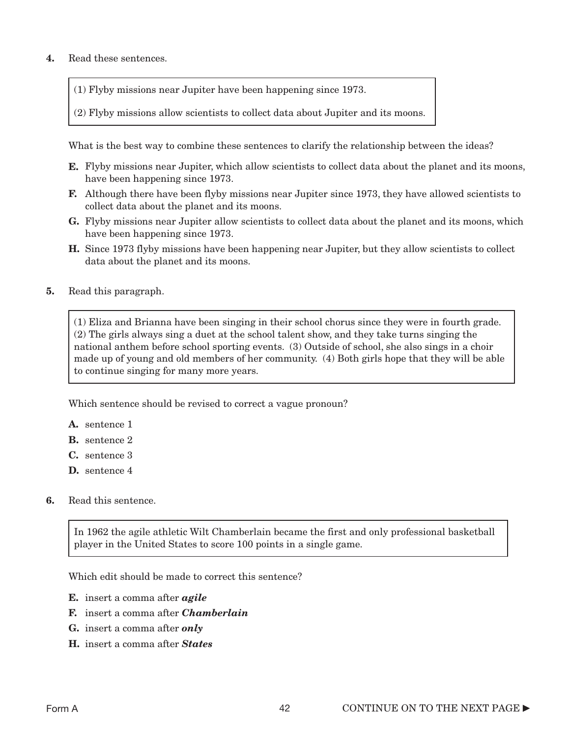### 4. Read these sentences.

- (1) Flyby missions near Jupiter have been happening since 1973.
- (2) Flyby missions allow scientists to collect data about Jupiter and its moons.

What is the best way to combine these sentences to clarify the relationship between the ideas?

- E. Flyby missions near Jupiter, which allow scientists to collect data about the planet and its moons, have been happening since 1973.
- **F.** Although there have been flyby missions near Jupiter since 1973, they have allowed scientists to collect data about the planet and its moons.
- G. Flyby missions near Jupiter allow scientists to collect data about the planet and its moons, which have been happening since 1973.
- H. Since 1973 flyby missions have been happening near Jupiter, but they allow scientists to collect data about the planet and its moons.
- 5. Read this paragraph.

(1) Eliza and Brianna have been singing in their school chorus since they were in fourth grade. (2) The girls always sing a duet at the school talent show, and they take turns singing the national anthem before school sporting events. (3) Outside of school, she also sings in a choir made up of young and old members of her community. (4) Both girls hope that they will be able to continue singing for many more years.

Which sentence should be revised to correct a vague pronoun?

- A. sentence 1
- B. sentence 2
- C. sentence 3
- D. sentence 4
- 6. Read this sentence.

In 1962 the agile athletic Wilt Chamberlain became the first and only professional basketball player in the United States to score 100 points in a single game.

Which edit should be made to correct this sentence?

- E. insert a comma after *agile*
- F. insert a comma after *Chamberlain*
- G. insert a comma after *only*
- H. insert a comma after *States*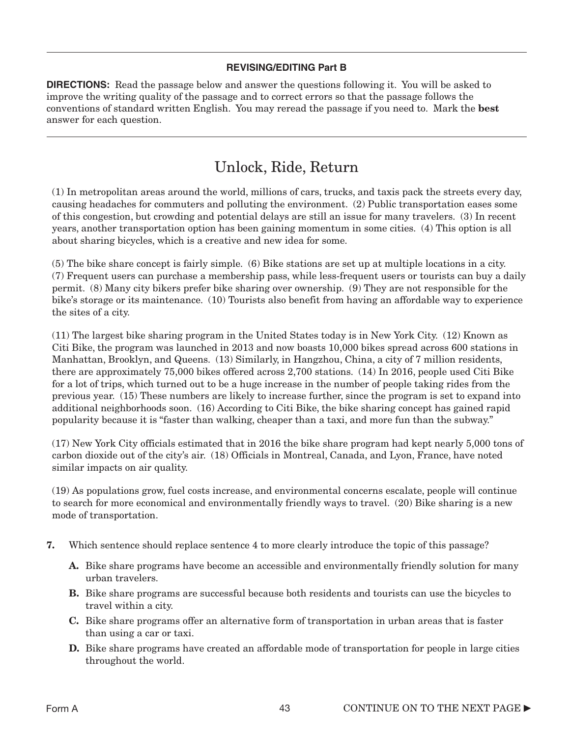### **REVISING/EDITING Part B**

**DIRECTIONS:** Read the passage below and answer the questions following it. You will be asked to improve the writing quality of the passage and to correct errors so that the passage follows the conventions of standard written English. You may reread the passage if you need to. Mark the best answer for each question.

### Unlock, Ride, Return

(1) In metropolitan areas around the world, millions of cars, trucks, and taxis pack the streets every day, causing headaches for commuters and polluting the environment. (2) Public transportation eases some of this congestion, but crowding and potential delays are still an issue for many travelers. (3) In recent years, another transportation option has been gaining momentum in some cities. (4) This option is all about sharing bicycles, which is a creative and new idea for some.

(5) The bike share concept is fairly simple. (6) Bike stations are set up at multiple locations in a city. (7) Frequent users can purchase a membership pass, while less-frequent users or tourists can buy a daily permit. (8) Many city bikers prefer bike sharing over ownership. (9) They are not responsible for the bike's storage or its maintenance. (10) Tourists also benefit from having an affordable way to experience the sites of a city.

(11) The largest bike sharing program in the United States today is in New York City. (12) Known as Citi Bike, the program was launched in 2013 and now boasts 10,000 bikes spread across 600 stations in Manhattan, Brooklyn, and Queens. (13) Similarly, in Hangzhou, China, a city of 7 million residents, there are approximately 75,000 bikes offered across 2,700 stations. (14) In 2016, people used Citi Bike for a lot of trips, which turned out to be a huge increase in the number of people taking rides from the previous year. (15) These numbers are likely to increase further, since the program is set to expand into additional neighborhoods soon. (16) According to Citi Bike, the bike sharing concept has gained rapid popularity because it is "faster than walking, cheaper than a taxi, and more fun than the subway."

(17) New York City officials estimated that in 2016 the bike share program had kept nearly 5,000 tons of carbon dioxide out of the city's air. (18) Officials in Montreal, Canada, and Lyon, France, have noted similar impacts on air quality.

(19) As populations grow, fuel costs increase, and environmental concerns escalate, people will continue to search for more economical and environmentally friendly ways to travel. (20) Bike sharing is a new mode of transportation.

- 7. Which sentence should replace sentence 4 to more clearly introduce the topic of this passage?
	- A. Bike share programs have become an accessible and environmentally friendly solution for many urban travelers.
	- **B.** Bike share programs are successful because both residents and tourists can use the bicycles to travel within a city.
	- C. Bike share programs offer an alternative form of transportation in urban areas that is faster than using a car or taxi.
	- **D.** Bike share programs have created an affordable mode of transportation for people in large cities throughout the world.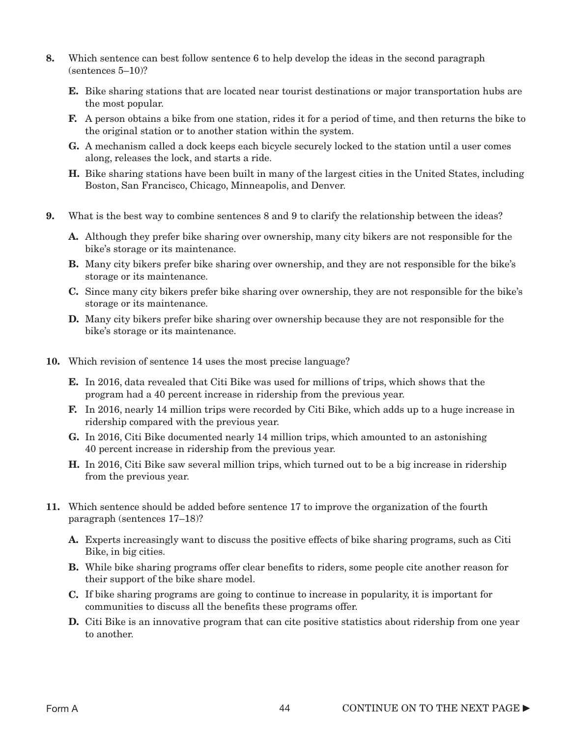- 8. Which sentence can best follow sentence 6 to help develop the ideas in the second paragraph (sentences 5–10)?
	- E. Bike sharing stations that are located near tourist destinations or major transportation hubs are the most popular.
	- F. A person obtains a bike from one station, rides it for a period of time, and then returns the bike to the original station or to another station within the system.
	- G. A mechanism called a dock keeps each bicycle securely locked to the station until a user comes along, releases the lock, and starts a ride.
	- H. Bike sharing stations have been built in many of the largest cities in the United States, including Boston, San Francisco, Chicago, Minneapolis, and Denver.
- 9. What is the best way to combine sentences 8 and 9 to clarify the relationship between the ideas?
	- A. Although they prefer bike sharing over ownership, many city bikers are not responsible for the bike's storage or its maintenance.
	- B. Many city bikers prefer bike sharing over ownership, and they are not responsible for the bike's storage or its maintenance.
	- C. Since many city bikers prefer bike sharing over ownership, they are not responsible for the bike's storage or its maintenance.
	- D. Many city bikers prefer bike sharing over ownership because they are not responsible for the bike's storage or its maintenance.
- 10. Which revision of sentence 14 uses the most precise language?
	- E. In 2016, data revealed that Citi Bike was used for millions of trips, which shows that the program had a 40 percent increase in ridership from the previous year.
	- F. In 2016, nearly 14 million trips were recorded by Citi Bike, which adds up to a huge increase in ridership compared with the previous year.
	- G. In 2016, Citi Bike documented nearly 14 million trips, which amounted to an astonishing 40 percent increase in ridership from the previous year.
	- **H.** In 2016, Citi Bike saw several million trips, which turned out to be a big increase in ridership from the previous year.
- 11. Which sentence should be added before sentence 17 to improve the organization of the fourth paragraph (sentences 17–18)?
	- A. Experts increasingly want to discuss the positive effects of bike sharing programs, such as Citi Bike, in big cities.
	- **B.** While bike sharing programs offer clear benefits to riders, some people cite another reason for their support of the bike share model.
	- C. If bike sharing programs are going to continue to increase in popularity, it is important for communities to discuss all the benefits these programs offer.
	- **D.** Citi Bike is an innovative program that can cite positive statistics about ridership from one year to another.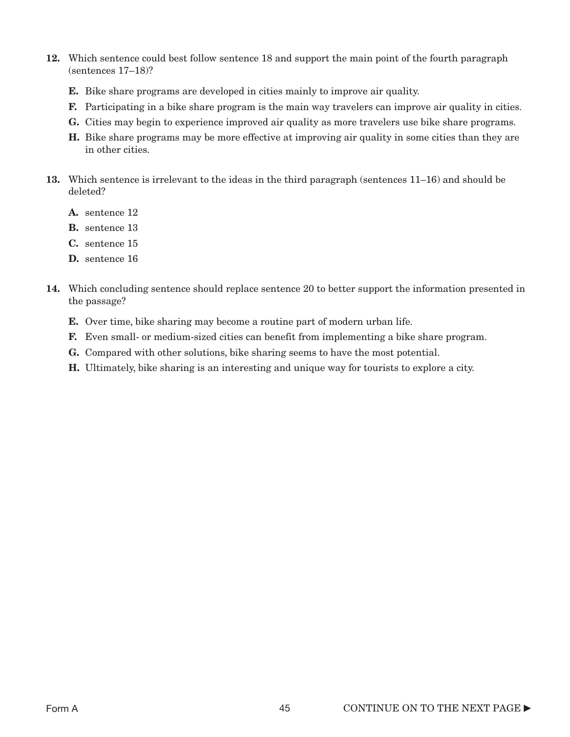- 12. Which sentence could best follow sentence 18 and support the main point of the fourth paragraph (sentences 17–18)?
	- E. Bike share programs are developed in cities mainly to improve air quality.
	- F. Participating in a bike share program is the main way travelers can improve air quality in cities.
	- G. Cities may begin to experience improved air quality as more travelers use bike share programs.
	- H. Bike share programs may be more effective at improving air quality in some cities than they are in other cities.
- 13. Which sentence is irrelevant to the ideas in the third paragraph (sentences 11–16) and should be deleted?
	- A. sentence 12
	- B. sentence 13
	- C. sentence 15
	- D. sentence 16
- 14. Which concluding sentence should replace sentence 20 to better support the information presented in the passage?
	- E. Over time, bike sharing may become a routine part of modern urban life.
	- F. Even small- or medium-sized cities can benefit from implementing a bike share program.
	- G. Compared with other solutions, bike sharing seems to have the most potential.
	- H. Ultimately, bike sharing is an interesting and unique way for tourists to explore a city.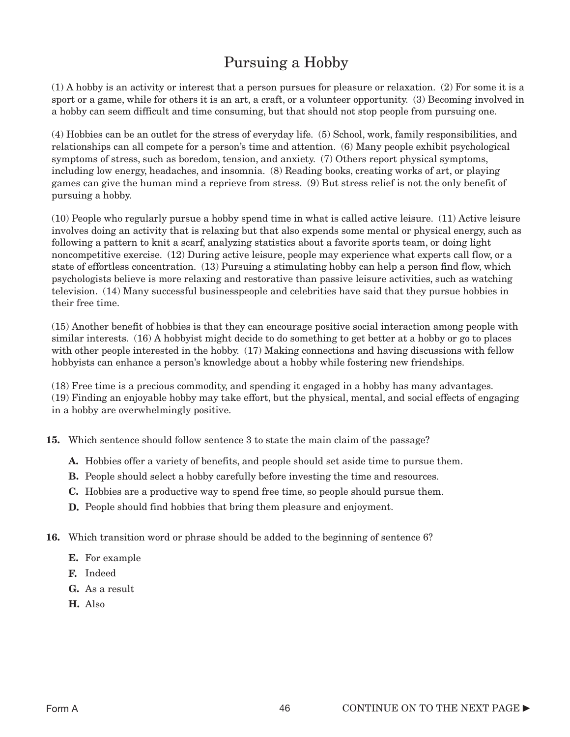### Pursuing a Hobby

(1) A hobby is an activity or interest that a person pursues for pleasure or relaxation. (2) For some it is a sport or a game, while for others it is an art, a craft, or a volunteer opportunity. (3) Becoming involved in a hobby can seem difficult and time consuming, but that should not stop people from pursuing one.

(4) Hobbies can be an outlet for the stress of everyday life. (5) School, work, family responsibilities, and relationships can all compete for a person's time and attention. (6) Many people exhibit psychological symptoms of stress, such as boredom, tension, and anxiety. (7) Others report physical symptoms, including low energy, headaches, and insomnia. (8) Reading books, creating works of art, or playing games can give the human mind a reprieve from stress. (9) But stress relief is not the only benefit of pursuing a hobby.

(10) People who regularly pursue a hobby spend time in what is called active leisure. (11) Active leisure involves doing an activity that is relaxing but that also expends some mental or physical energy, such as following a pattern to knit a scarf, analyzing statistics about a favorite sports team, or doing light noncompetitive exercise. (12) During active leisure, people may experience what experts call flow, or a state of effortless concentration. (13) Pursuing a stimulating hobby can help a person find flow, which psychologists believe is more relaxing and restorative than passive leisure activities, such as watching television. (14) Many successful businesspeople and celebrities have said that they pursue hobbies in their free time.

(15) Another benefit of hobbies is that they can encourage positive social interaction among people with similar interests. (16) A hobbyist might decide to do something to get better at a hobby or go to places with other people interested in the hobby. (17) Making connections and having discussions with fellow hobbyists can enhance a person's knowledge about a hobby while fostering new friendships.

(18) Free time is a precious commodity, and spending it engaged in a hobby has many advantages. (19) Finding an enjoyable hobby may take effort, but the physical, mental, and social effects of engaging in a hobby are overwhelmingly positive.

15. Which sentence should follow sentence 3 to state the main claim of the passage?

- A. Hobbies offer a variety of benefits, and people should set aside time to pursue them.
- B. People should select a hobby carefully before investing the time and resources.
- C. Hobbies are a productive way to spend free time, so people should pursue them.
- **D.** People should find hobbies that bring them pleasure and enjoyment.
- 16. Which transition word or phrase should be added to the beginning of sentence 6?
	- E. For example
	- F. Indeed
	- G. As a result
	- H. Also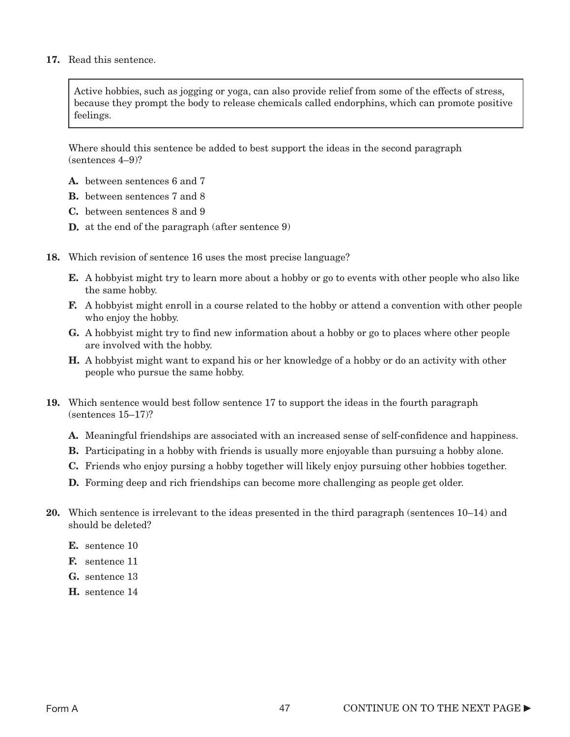### 17. Read this sentence.

Active hobbies, such as jogging or yoga, can also provide relief from some of the effects of stress, because they prompt the body to release chemicals called endorphins, which can promote positive feelings.

Where should this sentence be added to best support the ideas in the second paragraph (sentences 4–9)?

- A. between sentences 6 and 7
- B. between sentences 7 and 8
- C. between sentences 8 and 9
- D. at the end of the paragraph (after sentence 9)
- 18. Which revision of sentence 16 uses the most precise language?
	- E. A hobbyist might try to learn more about a hobby or go to events with other people who also like the same hobby.
	- **F.** A hobbyist might enroll in a course related to the hobby or attend a convention with other people who enjoy the hobby.
	- G. A hobbyist might try to find new information about a hobby or go to places where other people are involved with the hobby.
	- H. A hobbyist might want to expand his or her knowledge of a hobby or do an activity with other people who pursue the same hobby.
- 19. Which sentence would best follow sentence 17 to support the ideas in the fourth paragraph (sentences 15–17)?
	- A. Meaningful friendships are associated with an increased sense of self-confidence and happiness.
	- **B.** Participating in a hobby with friends is usually more enjoyable than pursuing a hobby alone.
	- C. Friends who enjoy pursing a hobby together will likely enjoy pursuing other hobbies together.
	- D. Forming deep and rich friendships can become more challenging as people get older.
- 20. Which sentence is irrelevant to the ideas presented in the third paragraph (sentences 10–14) and should be deleted?
	- E. sentence 10
	- F. sentence 11
	- G. sentence 13
	- H. sentence 14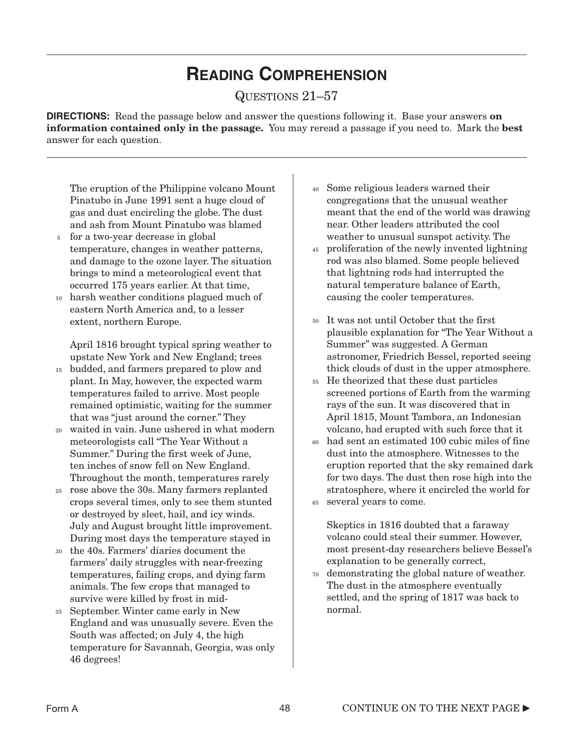## **READING COMPREHENSION**

QUESTIONS 21–57

**DIRECTIONS:** Read the passage below and answer the questions following it. Base your answers **on** information contained only in the passage. You may reread a passage if you need to. Mark the best answer for each question.

The eruption of the Philippine volcano Mount Pinatubo in June 1991 sent a huge cloud of gas and dust encircling the globe. The dust and ash from Mount Pinatubo was blamed

- <sup>5</sup> for a two-year decrease in global temperature, changes in weather patterns, and damage to the ozone layer. The situation brings to mind a meteorological event that occurred 175 years earlier. At that time,
- harsh weather conditions plagued much of 10 eastern North America and, to a lesser extent, northern Europe.

April 1816 brought typical spring weather to upstate New York and New England; trees

- budded, and farmers prepared to plow and 15 plant. In May, however, the expected warm temperatures failed to arrive. Most people remained optimistic, waiting for the summer that was "just around the corner." They
- waited in vain. June ushered in what modern 20 meteorologists call "The Year Without a Summer." During the first week of June, ten inches of snow fell on New England. Throughout the month, temperatures rarely
- rose above the 30s. Many farmers replanted 25 crops several times, only to see them stunted or destroyed by sleet, hail, and icy winds. July and August brought little improvement. During most days the temperature stayed in
- the 40s. Farmers' diaries document the farmers' daily struggles with near-freezing temperatures, failing crops, and dying farm animals. The few crops that managed to survive were killed by frost in mid-30
- September. Winter came early in New 35 England and was unusually severe. Even the South was affected; on July 4, the high temperature for Savannah, Georgia, was only 46 degrees!
- Some religious leaders warned their 40 congregations that the unusual weather meant that the end of the world was drawing near. Other leaders attributed the cool weather to unusual sunspot activity. The
- proliferation of the newly invented lightning 45 rod was also blamed. Some people believed that lightning rods had interrupted the natural temperature balance of Earth, causing the cooler temperatures.
- It was not until October that the first 50 plausible explanation for "The Year Without a Summer" was suggested. A German astronomer, Friedrich Bessel, reported seeing thick clouds of dust in the upper atmosphere.
- He theorized that these dust particles 55 screened portions of Earth from the warming rays of the sun. It was discovered that in April 1815, Mount Tambora, an Indonesian volcano, had erupted with such force that it
- had sent an estimated 100 cubic miles of fine dust into the atmosphere. Witnesses to the eruption reported that the sky remained dark for two days. The dust then rose high into the stratosphere, where it encircled the world for 60
- several years to come. 65

Skeptics in 1816 doubted that a faraway volcano could steal their summer. However, most present-day researchers believe Bessel's explanation to be generally correct,

demonstrating the global nature of weather. 70The dust in the atmosphere eventually settled, and the spring of 1817 was back to normal.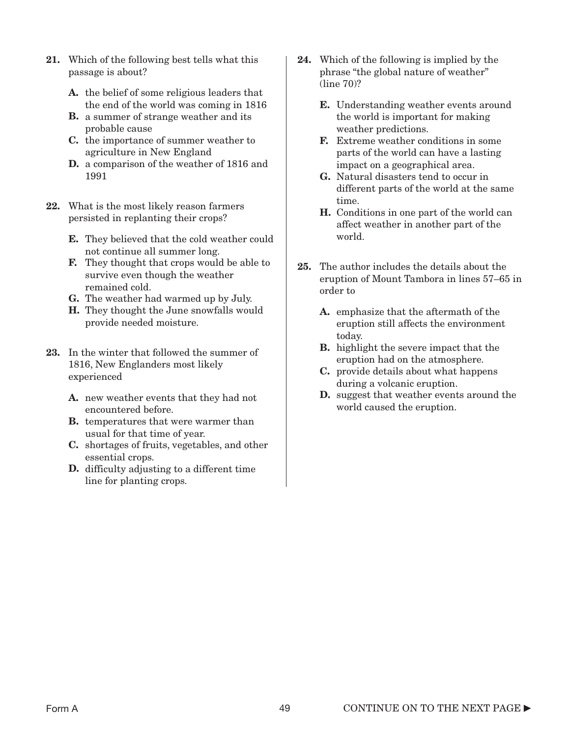21. Which of the following best tells what this passage is about?

> A. the belief of some religious leaders that the end of the world was coming in 1816

- **B.** a summer of strange weather and its probable cause
- C. the importance of summer weather to agriculture in New England
- D. a comparison of the weather of 1816 and 1991
- 22. What is the most likely reason farmers persisted in replanting their crops?
	- E. They believed that the cold weather could not continue all summer long.
	- F. They thought that crops would be able to survive even though the weather remained cold.
	- G. The weather had warmed up by July.
	- H. They thought the June snowfalls would provide needed moisture.
- 23. In the winter that followed the summer of 1816, New Englanders most likely experienced
	- A. new weather events that they had not encountered before.
	- **B.** temperatures that were warmer than usual for that time of year.
	- C. shortages of fruits, vegetables, and other essential crops.
	- D. difficulty adjusting to a different time line for planting crops.
- 24. Which of the following is implied by the phrase "the global nature of weather" (line 70)?
	- E. Understanding weather events around the world is important for making weather predictions.
	- F. Extreme weather conditions in some parts of the world can have a lasting impact on a geographical area.
	- G. Natural disasters tend to occur in different parts of the world at the same time.
	- H. Conditions in one part of the world can affect weather in another part of the world.
- 25. The author includes the details about the eruption of Mount Tambora in lines 57–65 in order to
	- A. emphasize that the aftermath of the eruption still affects the environment today.
	- B. highlight the severe impact that the eruption had on the atmosphere.
	- C. provide details about what happens during a volcanic eruption.
	- D. suggest that weather events around the world caused the eruption.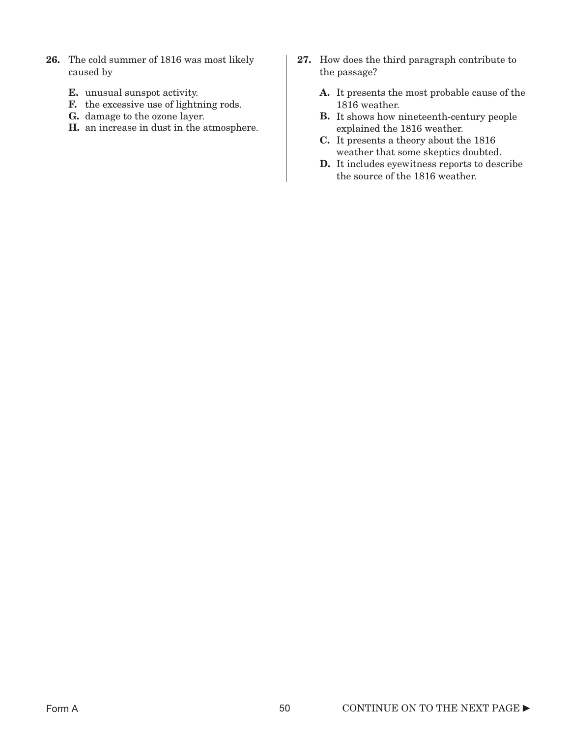- 26. The cold summer of 1816 was most likely caused by
	- E. unusual sunspot activity.
	- F. the excessive use of lightning rods.
	- G. damage to the ozone layer.
	- H. an increase in dust in the atmosphere.
- 27. How does the third paragraph contribute to the passage?
	- A. It presents the most probable cause of the 1816 weather.
	- B. It shows how nineteenth-century people explained the 1816 weather.
	- C. It presents a theory about the 1816 weather that some skeptics doubted.
	- D. It includes eyewitness reports to describe the source of the 1816 weather.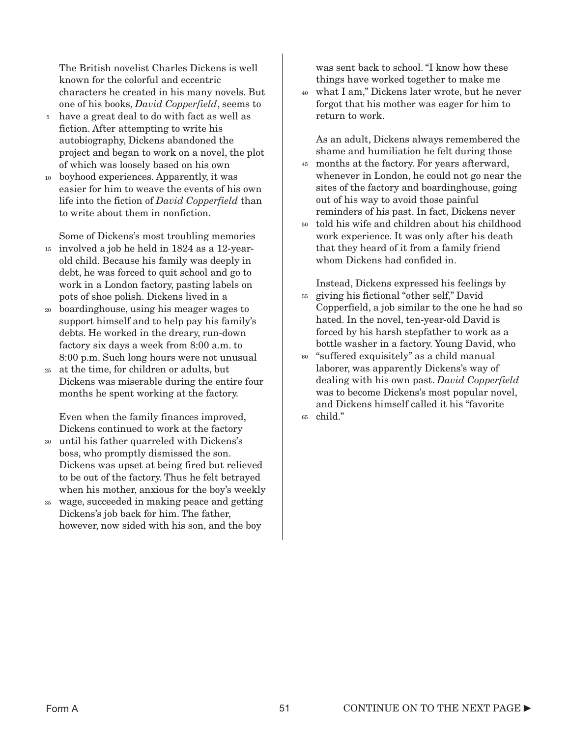The British novelist Charles Dickens is well known for the colorful and eccentric characters he created in his many novels. But one of his books, *David Copperfield*, seems to

- have a great deal to do with fact as well as fiction. After attempting to write his autobiography, Dickens abandoned the project and began to work on a novel, the plot of which was loosely based on his own 5
- boyhood experiences. Apparently, it was easier for him to weave the events of his own life into the fiction of *David Copperfield* than to write about them in nonfiction. 10

Some of Dickens's most troubling memories

- involved a job he held in 1824 as a 12-year-15 old child. Because his family was deeply in debt, he was forced to quit school and go to work in a London factory, pasting labels on pots of shoe polish. Dickens lived in a
- boardinghouse, using his meager wages to support himself and to help pay his family's debts. He worked in the dreary, run-down factory six days a week from 8:00 a.m. to 8:00 p.m. Such long hours were not unusual 20
- at the time, for children or adults, but 25 Dickens was miserable during the entire four months he spent working at the factory.

Even when the family finances improved, Dickens continued to work at the factory

- until his father quarreled with Dickens's 30 boss, who promptly dismissed the son. Dickens was upset at being fired but relieved to be out of the factory. Thus he felt betrayed when his mother, anxious for the boy's weekly
- wage, succeeded in making peace and getting Dickens's job back for him. The father, however, now sided with his son, and the boy 35

was sent back to school. "I know how these things have worked together to make me

what I am," Dickens later wrote, but he never 40 forgot that his mother was eager for him to return to work.

As an adult, Dickens always remembered the shame and humiliation he felt during those

- months at the factory. For years afterward, 45 whenever in London, he could not go near the sites of the factory and boardinghouse, going out of his way to avoid those painful reminders of his past. In fact, Dickens never
- told his wife and children about his childhood 50 work experience. It was only after his death that they heard of it from a family friend whom Dickens had confided in.

Instead, Dickens expressed his feelings by

- giving his fictional "other self," David Copperfield, a job similar to the one he had so hated. In the novel, ten-year-old David is forced by his harsh stepfather to work as a bottle washer in a factory. Young David, who 55
- "suffered exquisitely" as a child manual laborer, was apparently Dickens's way of dealing with his own past. *David Copperfield* was to become Dickens's most popular novel, and Dickens himself called it his "favorite 60
- child." 65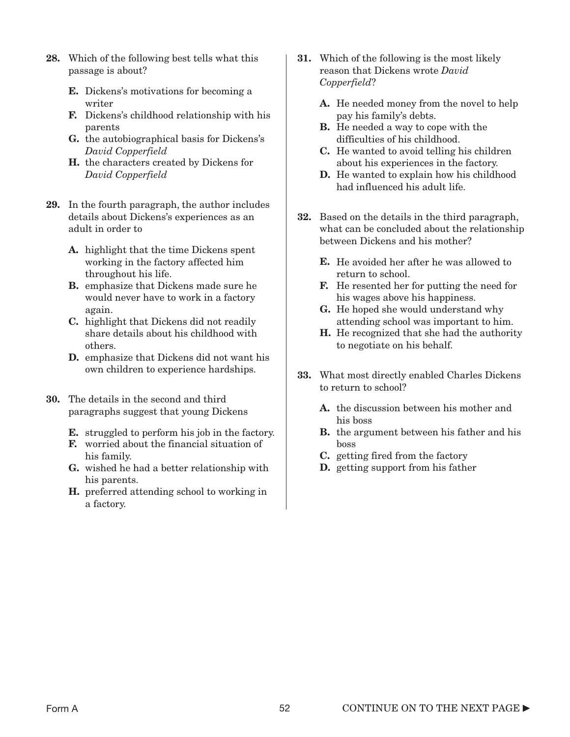- 28. Which of the following best tells what this passage is about?
	- E. Dickens's motivations for becoming a writer
	- F. Dickens's childhood relationship with his parents
	- G. the autobiographical basis for Dickens's *David Copperfield*
	- H. the characters created by Dickens for *David Copperfield*
- 29. In the fourth paragraph, the author includes details about Dickens's experiences as an adult in order to
	- A. highlight that the time Dickens spent working in the factory affected him throughout his life.
	- B. emphasize that Dickens made sure he would never have to work in a factory again.
	- C. highlight that Dickens did not readily share details about his childhood with others.
	- D. emphasize that Dickens did not want his own children to experience hardships.
- 30. The details in the second and third paragraphs suggest that young Dickens
	- **E.** struggled to perform his job in the factory.
	- F. worried about the financial situation of his family.
	- G. wished he had a better relationship with his parents.
	- H. preferred attending school to working in a factory.
- 31. Which of the following is the most likely reason that Dickens wrote *David Copperfield*?
	- A. He needed money from the novel to help pay his family's debts.
	- B. He needed a way to cope with the difficulties of his childhood.
	- C. He wanted to avoid telling his children about his experiences in the factory.
	- D. He wanted to explain how his childhood had influenced his adult life.
- 32. Based on the details in the third paragraph, what can be concluded about the relationship between Dickens and his mother?
	- E. He avoided her after he was allowed to return to school.
	- F. He resented her for putting the need for his wages above his happiness.
	- G. He hoped she would understand why attending school was important to him.
	- H. He recognized that she had the authority to negotiate on his behalf.
- 33. What most directly enabled Charles Dickens to return to school?
	- A. the discussion between his mother and his boss
	- B. the argument between his father and his boss
	- C. getting fired from the factory
	- D. getting support from his father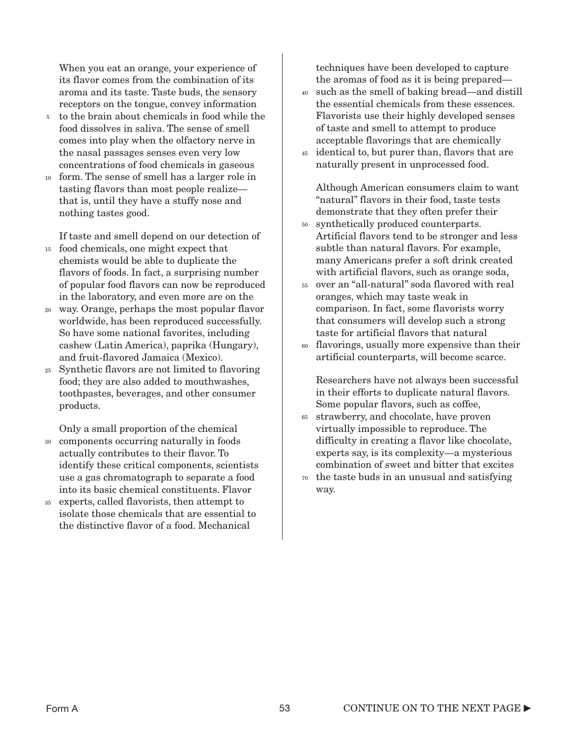When you eat an orange, your experience of its flavor comes from the combination of its aroma and its taste. Taste buds, the sensory receptors on the tongue, convey information

- to the brain about chemicals in food while the food dissolves in saliva. The sense of smell comes into play when the olfactory nerve in the nasal passages senses even very low concentrations of food chemicals in gaseous 5
- form. The sense of smell has a larger role in tasting flavors than most people realize that is, until they have a stuffy nose and nothing tastes good. 10

If taste and smell depend on our detection of

- food chemicals, one might expect that 15 chemists would be able to duplicate the flavors of foods. In fact, a surprising number of popular food flavors can now be reproduced in the laboratory, and even more are on the
- way. Orange, perhaps the most popular flavor 20 worldwide, has been reproduced successfully. So have some national favorites, including cashew (Latin America), paprika (Hungary), and fruit-flavored Jamaica (Mexico).
- Synthetic flavors are not limited to flavoring 25 food; they are also added to mouthwashes, toothpastes, beverages, and other consumer products.

Only a small proportion of the chemical

- components occurring naturally in foods actually contributes to their flavor. To identify these critical components, scientists use a gas chromatograph to separate a food into its basic chemical constituents. Flavor 30
- experts, called flavorists, then attempt to isolate those chemicals that are essential to the distinctive flavor of a food. Mechanical 35

techniques have been developed to capture the aromas of food as it is being prepared—

- such as the smell of baking bread—and distill 40 the essential chemicals from these essences. Flavorists use their highly developed senses of taste and smell to attempt to produce acceptable flavorings that are chemically
- identical to, but purer than, flavors that are naturally present in unprocessed food. 45

Although American consumers claim to want "natural" flavors in their food, taste tests demonstrate that they often prefer their

- synthetically produced counterparts. 50 Artificial flavors tend to be stronger and less subtle than natural flavors. For example, many Americans prefer a soft drink created with artificial flavors, such as orange soda,
- over an "all-natural" soda flavored with real 55 oranges, which may taste weak in comparison. In fact, some flavorists worry that consumers will develop such a strong taste for artificial flavors that natural
- flavorings, usually more expensive than their artificial counterparts, will become scarce. 60

Researchers have not always been successful in their efforts to duplicate natural flavors. Some popular flavors, such as coffee,

- strawberry, and chocolate, have proven 65 virtually impossible to reproduce. The difficulty in creating a flavor like chocolate, experts say, is its complexity—a mysterious combination of sweet and bitter that excites
- the taste buds in an unusual and satisfying 70way.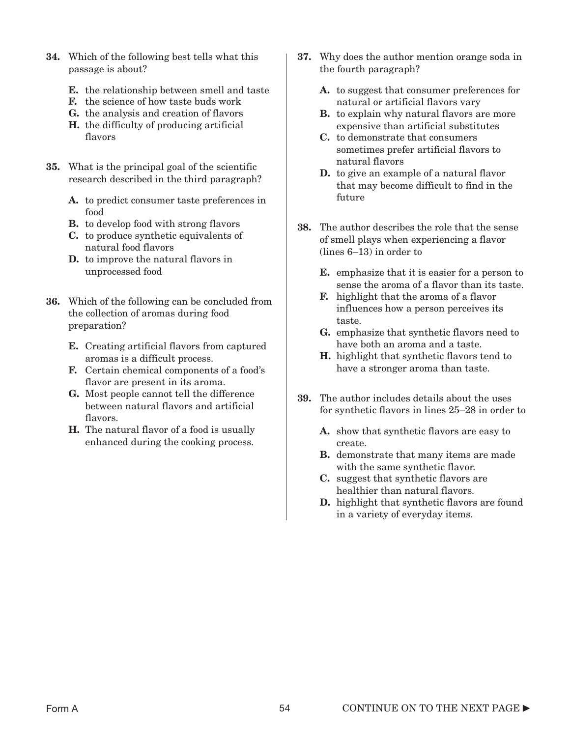- 34. Which of the following best tells what this passage is about?
	- E. the relationship between smell and taste
	- F. the science of how taste buds work
	- G. the analysis and creation of flavors
	- H. the difficulty of producing artificial flavors
- 35. What is the principal goal of the scientific research described in the third paragraph?
	- A. to predict consumer taste preferences in food
	- B. to develop food with strong flavors
	- C. to produce synthetic equivalents of natural food flavors
	- D. to improve the natural flavors in unprocessed food
- 36. Which of the following can be concluded from the collection of aromas during food preparation?
	- E. Creating artificial flavors from captured aromas is a difficult process.
	- F. Certain chemical components of a food's flavor are present in its aroma.
	- G. Most people cannot tell the difference between natural flavors and artificial flavors.
	- H. The natural flavor of a food is usually enhanced during the cooking process.
- 37. Why does the author mention orange soda in the fourth paragraph?
	- A. to suggest that consumer preferences for natural or artificial flavors vary
	- B. to explain why natural flavors are more expensive than artificial substitutes
	- C. to demonstrate that consumers sometimes prefer artificial flavors to natural flavors
	- D. to give an example of a natural flavor that may become difficult to find in the future
- 38. The author describes the role that the sense of smell plays when experiencing a flavor (lines 6–13) in order to
	- E. emphasize that it is easier for a person to sense the aroma of a flavor than its taste.
	- F. highlight that the aroma of a flavor influences how a person perceives its taste.
	- G. emphasize that synthetic flavors need to have both an aroma and a taste.
	- H. highlight that synthetic flavors tend to have a stronger aroma than taste.
- 39. The author includes details about the uses for synthetic flavors in lines 25–28 in order to
	- A. show that synthetic flavors are easy to create.
	- B. demonstrate that many items are made with the same synthetic flavor.
	- C. suggest that synthetic flavors are healthier than natural flavors.
	- D. highlight that synthetic flavors are found in a variety of everyday items.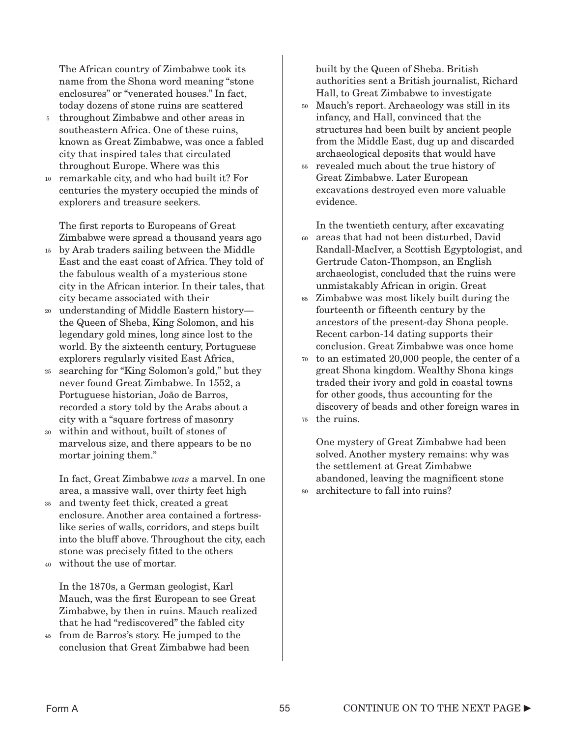The African country of Zimbabwe took its name from the Shona word meaning "stone enclosures" or "venerated houses." In fact, today dozens of stone ruins are scattered

- throughout Zimbabwe and other areas in southeastern Africa. One of these ruins, known as Great Zimbabwe, was once a fabled city that inspired tales that circulated throughout Europe. Where was this 5
- remarkable city, and who had built it? For centuries the mystery occupied the minds of explorers and treasure seekers. 10

The first reports to Europeans of Great Zimbabwe were spread a thousand years ago

- by Arab traders sailing between the Middle 15 East and the east coast of Africa. They told of the fabulous wealth of a mysterious stone city in the African interior. In their tales, that city became associated with their
- understanding of Middle Eastern history the Queen of Sheba, King Solomon, and his legendary gold mines, long since lost to the world. By the sixteenth century, Portuguese explorers regularly visited East Africa, 20
- searching for "King Solomon's gold," but they 25 never found Great Zimbabwe. In 1552, a Portuguese historian, João de Barros, recorded a story told by the Arabs about a city with a "square fortress of masonry
- within and without, built of stones of marvelous size, and there appears to be no mortar joining them." 30

In fact, Great Zimbabwe *was* a marvel. In one area, a massive wall, over thirty feet high

- and twenty feet thick, created a great enclosure. Another area contained a fortresslike series of walls, corridors, and steps built into the bluff above. Throughout the city, each stone was precisely fitted to the others 35
- without the use of mortar. 40

In the 1870s, a German geologist, Karl Mauch, was the first European to see Great Zimbabwe, by then in ruins. Mauch realized that he had "rediscovered" the fabled city

from de Barros's story. He jumped to the 45 conclusion that Great Zimbabwe had been

built by the Queen of Sheba. British authorities sent a British journalist, Richard Hall, to Great Zimbabwe to investigate

- Mauch's report. Archaeology was still in its 50 infancy, and Hall, convinced that the structures had been built by ancient people from the Middle East, dug up and discarded archaeological deposits that would have
- revealed much about the true history of 55 Great Zimbabwe. Later European excavations destroyed even more valuable evidence.

In the twentieth century, after excavating

- areas that had not been disturbed, David Randall-MacIver, a Scottish Egyptologist, and Gertrude Caton-Thompson, an English archaeologist, concluded that the ruins were unmistakably African in origin. Great 60
- Zimbabwe was most likely built during the fourteenth or fifteenth century by the ancestors of the present-day Shona people. Recent carbon-14 dating supports their conclusion. Great Zimbabwe was once home 65
- to an estimated 20,000 people, the center of a 70 great Shona kingdom. Wealthy Shona kings traded their ivory and gold in coastal towns for other goods, thus accounting for the discovery of beads and other foreign wares in
- the ruins. 75

One mystery of Great Zimbabwe had been solved. Another mystery remains: why was the settlement at Great Zimbabwe abandoned, leaving the magnificent stone architecture to fall into ruins? 80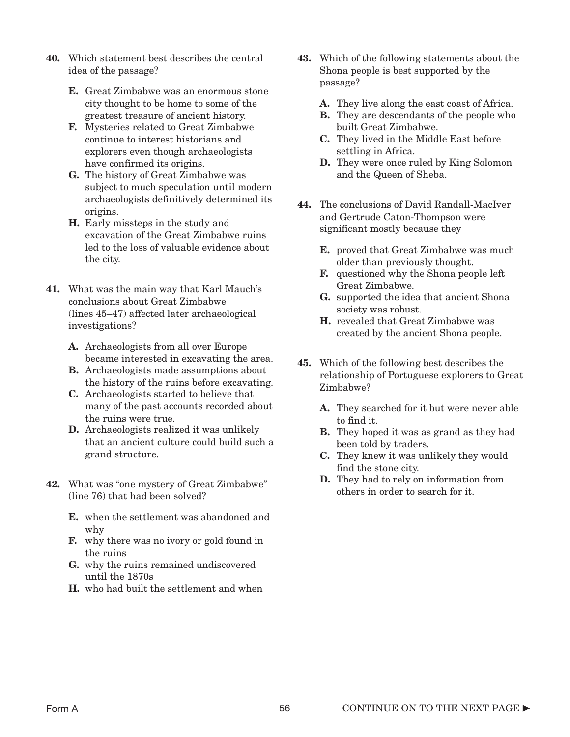- 40. Which statement best describes the central idea of the passage?
	- E. Great Zimbabwe was an enormous stone city thought to be home to some of the greatest treasure of ancient history.
	- F. Mysteries related to Great Zimbabwe continue to interest historians and explorers even though archaeologists have confirmed its origins.
	- G. The history of Great Zimbabwe was subject to much speculation until modern archaeologists definitively determined its origins.
	- H. Early missteps in the study and excavation of the Great Zimbabwe ruins led to the loss of valuable evidence about the city.
- 41. What was the main way that Karl Mauch's conclusions about Great Zimbabwe (lines 45–47) affected later archaeological investigations?
	- A. Archaeologists from all over Europe became interested in excavating the area.
	- B. Archaeologists made assumptions about the history of the ruins before excavating.
	- C. Archaeologists started to believe that many of the past accounts recorded about the ruins were true.
	- D. Archaeologists realized it was unlikely that an ancient culture could build such a grand structure.
- 42. What was "one mystery of Great Zimbabwe" (line 76) that had been solved?
	- E. when the settlement was abandoned and why
	- F. why there was no ivory or gold found in the ruins
	- G. why the ruins remained undiscovered until the 1870s
	- H. who had built the settlement and when
- 43. Which of the following statements about the Shona people is best supported by the passage?
	- A. They live along the east coast of Africa.
	- B. They are descendants of the people who built Great Zimbabwe.
	- C. They lived in the Middle East before settling in Africa.
	- D. They were once ruled by King Solomon and the Queen of Sheba.
- 44. The conclusions of David Randall-MacIver and Gertrude Caton-Thompson were significant mostly because they
	- E. proved that Great Zimbabwe was much older than previously thought.
	- F. questioned why the Shona people left Great Zimbabwe.
	- G. supported the idea that ancient Shona society was robust.
	- H. revealed that Great Zimbabwe was created by the ancient Shona people.
- 45. Which of the following best describes the relationship of Portuguese explorers to Great Zimbabwe?
	- A. They searched for it but were never able to find it.
	- B. They hoped it was as grand as they had been told by traders.
	- C. They knew it was unlikely they would find the stone city.
	- D. They had to rely on information from others in order to search for it.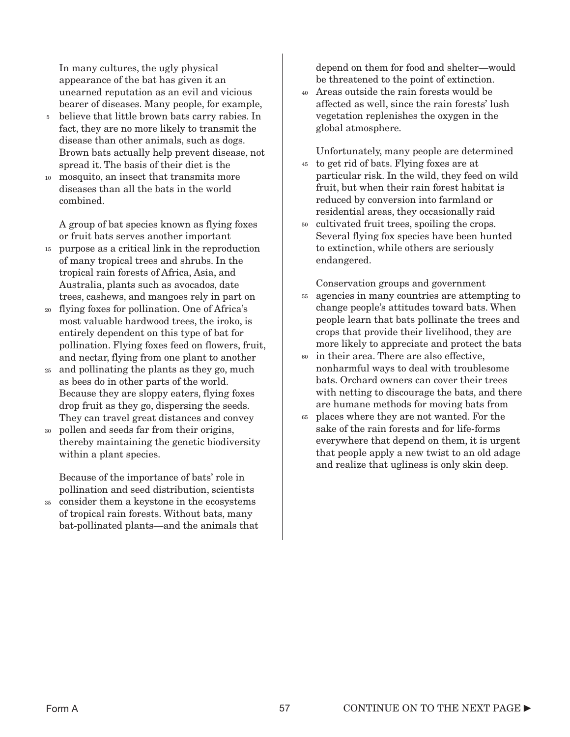In many cultures, the ugly physical appearance of the bat has given it an unearned reputation as an evil and vicious bearer of diseases. Many people, for example,

- believe that little brown bats carry rabies. In fact, they are no more likely to transmit the disease than other animals, such as dogs. Brown bats actually help prevent disease, not spread it. The basis of their diet is the 5
- mosquito, an insect that transmits more diseases than all the bats in the world combined. 10

A group of bat species known as flying foxes or fruit bats serves another important

- purpose as a critical link in the reproduction 15 of many tropical trees and shrubs. In the tropical rain forests of Africa, Asia, and Australia, plants such as avocados, date trees, cashews, and mangoes rely in part on
- flying foxes for pollination. One of Africa's 20 most valuable hardwood trees, the iroko, is entirely dependent on this type of bat for pollination. Flying foxes feed on flowers, fruit, and nectar, flying from one plant to another
- and pollinating the plants as they go, much as bees do in other parts of the world. Because they are sloppy eaters, flying foxes drop fruit as they go, dispersing the seeds. They can travel great distances and convey 25
- pollen and seeds far from their origins, thereby maintaining the genetic biodiversity within a plant species. 30

Because of the importance of bats' role in pollination and seed distribution, scientists

consider them a keystone in the ecosystems of tropical rain forests. Without bats, many bat-pollinated plants—and the animals that 35

depend on them for food and shelter—would be threatened to the point of extinction.

Areas outside the rain forests would be 40 affected as well, since the rain forests' lush vegetation replenishes the oxygen in the global atmosphere.

Unfortunately, many people are determined 45 to get rid of bats. Flying foxes are at particular risk. In the wild, they feed on wild fruit, but when their rain forest habitat is reduced by conversion into farmland or residential areas, they occasionally raid

cultivated fruit trees, spoiling the crops. 50 Several flying fox species have been hunted to extinction, while others are seriously endangered.

Conservation groups and government

- agencies in many countries are attempting to change people's attitudes toward bats. When people learn that bats pollinate the trees and crops that provide their livelihood, they are more likely to appreciate and protect the bats 55
- in their area. There are also effective, nonharmful ways to deal with troublesome bats. Orchard owners can cover their trees with netting to discourage the bats, and there are humane methods for moving bats from 60
- places where they are not wanted. For the 65sake of the rain forests and for life-forms everywhere that depend on them, it is urgent that people apply a new twist to an old adage and realize that ugliness is only skin deep.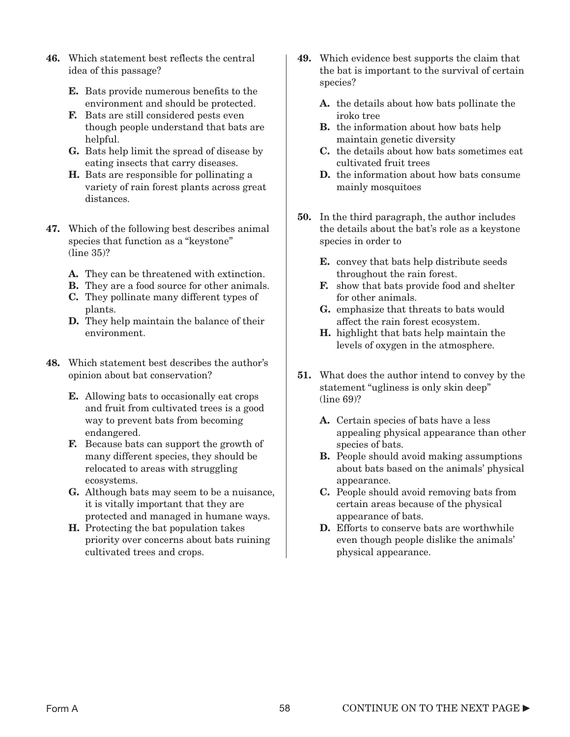- 46. Which statement best reflects the central idea of this passage?
	- E. Bats provide numerous benefits to the environment and should be protected.
	- F. Bats are still considered pests even though people understand that bats are helpful.
	- G. Bats help limit the spread of disease by eating insects that carry diseases.
	- H. Bats are responsible for pollinating a variety of rain forest plants across great distances.
- 47. Which of the following best describes animal species that function as a "keystone" (line 35)?
	- A. They can be threatened with extinction.
	- B. They are a food source for other animals.
	- C. They pollinate many different types of plants.
	- D. They help maintain the balance of their environment.
- 48. Which statement best describes the author's opinion about bat conservation?
	- E. Allowing bats to occasionally eat crops and fruit from cultivated trees is a good way to prevent bats from becoming endangered.
	- F. Because bats can support the growth of many different species, they should be relocated to areas with struggling ecosystems.
	- G. Although bats may seem to be a nuisance, it is vitally important that they are protected and managed in humane ways.
	- H. Protecting the bat population takes priority over concerns about bats ruining cultivated trees and crops.
- 49. Which evidence best supports the claim that the bat is important to the survival of certain species?
	- A. the details about how bats pollinate the iroko tree
	- **B.** the information about how bats help maintain genetic diversity
	- C. the details about how bats sometimes eat cultivated fruit trees
	- D. the information about how bats consume mainly mosquitoes
- 50. In the third paragraph, the author includes the details about the bat's role as a keystone species in order to
	- E. convey that bats help distribute seeds throughout the rain forest.
	- F. show that bats provide food and shelter for other animals.
	- G. emphasize that threats to bats would affect the rain forest ecosystem.
	- H. highlight that bats help maintain the levels of oxygen in the atmosphere.
- 51. What does the author intend to convey by the statement "ugliness is only skin deep" (line 69)?
	- A. Certain species of bats have a less appealing physical appearance than other species of bats.
	- B. People should avoid making assumptions about bats based on the animals' physical appearance.
	- C. People should avoid removing bats from certain areas because of the physical appearance of bats.
	- D. Efforts to conserve bats are worthwhile even though people dislike the animals' physical appearance.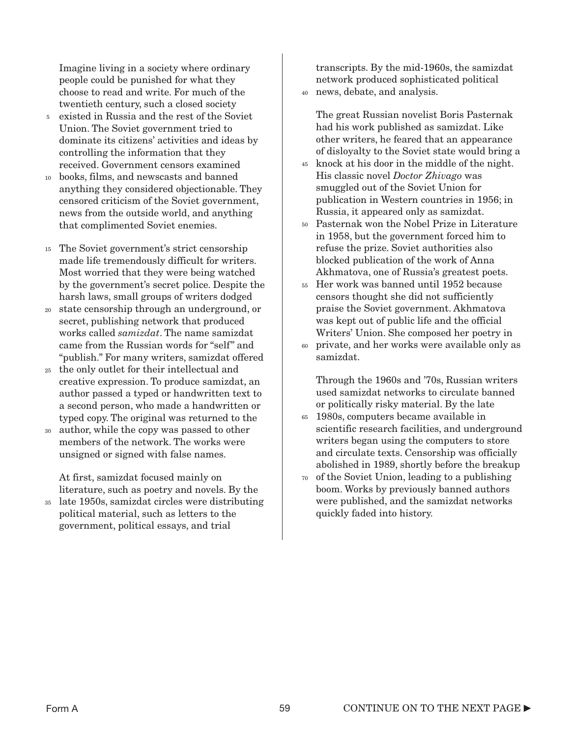Imagine living in a society where ordinary people could be punished for what they choose to read and write. For much of the twentieth century, such a closed society

- existed in Russia and the rest of the Soviet Union. The Soviet government tried to dominate its citizens' activities and ideas by controlling the information that they received. Government censors examined 5
- books, films, and newscasts and banned anything they considered objectionable. They censored criticism of the Soviet government, news from the outside world, and anything that complimented Soviet enemies. 10
- The Soviet government's strict censorship 15 made life tremendously difficult for writers. Most worried that they were being watched by the government's secret police. Despite the harsh laws, small groups of writers dodged
- state censorship through an underground, or 20 secret, publishing network that produced works called *samizdat*. The name samizdat came from the Russian words for "self" and "publish." For many writers, samizdat offered
- the only outlet for their intellectual and 25 creative expression. To produce samizdat, an author passed a typed or handwritten text to a second person, who made a handwritten or typed copy. The original was returned to the
- author, while the copy was passed to other members of the network. The works were unsigned or signed with false names. 30

At first, samizdat focused mainly on literature, such as poetry and novels. By the

late 1950s, samizdat circles were distributing political material, such as letters to the government, political essays, and trial 35

transcripts. By the mid-1960s, the samizdat network produced sophisticated political

news, debate, and analysis. 40

The great Russian novelist Boris Pasternak had his work published as samizdat. Like other writers, he feared that an appearance of disloyalty to the Soviet state would bring a

- 45 knock at his door in the middle of the night. His classic novel *Doctor Zhivago* was smuggled out of the Soviet Union for publication in Western countries in 1956; in Russia, it appeared only as samizdat.
- Pasternak won the Nobel Prize in Literature 50 in 1958, but the government forced him to refuse the prize. Soviet authorities also blocked publication of the work of Anna Akhmatova, one of Russia's greatest poets.
- Her work was banned until 1952 because 55 censors thought she did not sufficiently praise the Soviet government. Akhmatova was kept out of public life and the official Writers' Union. She composed her poetry in
- private, and her works were available only as samizdat. 60

Through the 1960s and '70s, Russian writers used samizdat networks to circulate banned or politically risky material. By the late

- 1980s, computers became available in 65 scientific research facilities, and underground writers began using the computers to store and circulate texts. Censorship was officially abolished in 1989, shortly before the breakup
- 70 of the Soviet Union, leading to a publishing boom. Works by previously banned authors were published, and the samizdat networks quickly faded into history.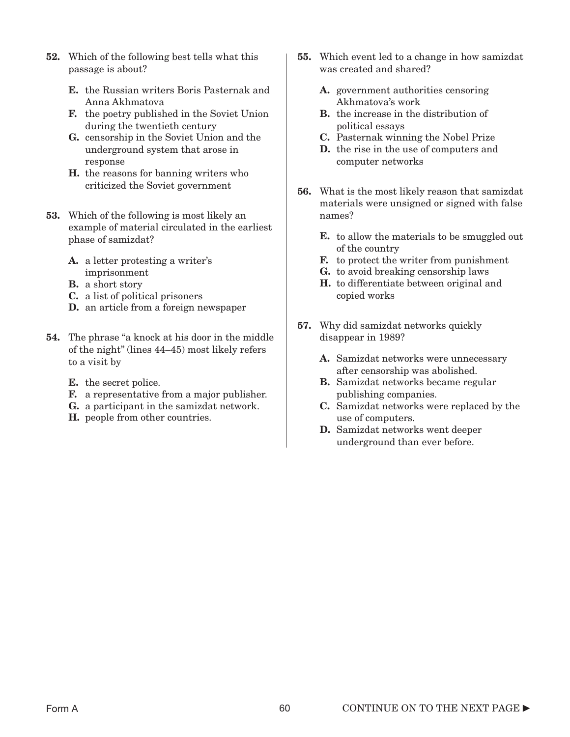- 52. Which of the following best tells what this passage is about?
	- E. the Russian writers Boris Pasternak and Anna Akhmatova
	- F. the poetry published in the Soviet Union during the twentieth century
	- G. censorship in the Soviet Union and the underground system that arose in response
	- H. the reasons for banning writers who criticized the Soviet government
- 53. Which of the following is most likely an example of material circulated in the earliest phase of samizdat?
	- A. a letter protesting a writer's imprisonment
	- **B.** a short story
	- C. a list of political prisoners
	- D. an article from a foreign newspaper
- 54. The phrase "a knock at his door in the middle of the night" (lines 44–45) most likely refers to a visit by
	- **E.** the secret police.
	- F. a representative from a major publisher.
	- G. a participant in the samizdat network.
	- H. people from other countries.
- 55. Which event led to a change in how samizdat was created and shared?
	- A. government authorities censoring Akhmatova's work
	- B. the increase in the distribution of political essays
	- C. Pasternak winning the Nobel Prize
	- D. the rise in the use of computers and computer networks
- 56. What is the most likely reason that samizdat materials were unsigned or signed with false names?
	- **E.** to allow the materials to be smuggled out of the country
	- F. to protect the writer from punishment
	- G. to avoid breaking censorship laws
	- H. to differentiate between original and copied works
- 57. Why did samizdat networks quickly disappear in 1989?
	- A. Samizdat networks were unnecessary after censorship was abolished.
	- B. Samizdat networks became regular publishing companies.
	- C. Samizdat networks were replaced by the use of computers.
	- D. Samizdat networks went deeper underground than ever before.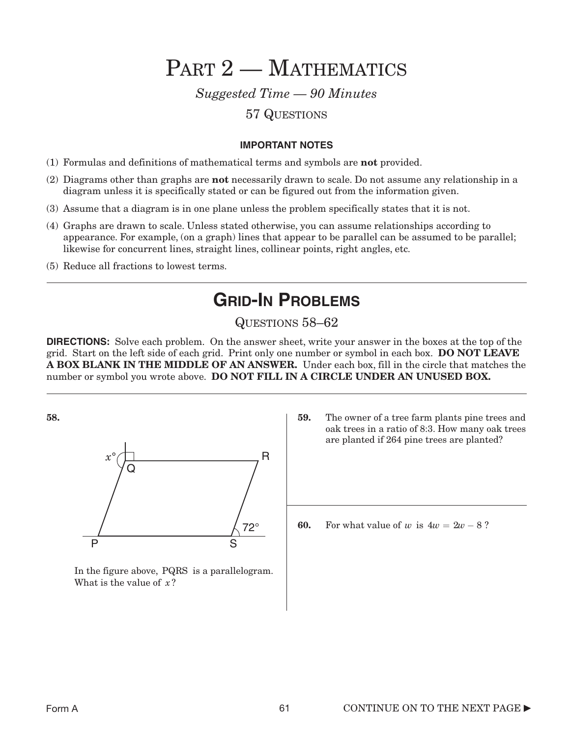PART 2 - MATHEMATICS

*Suggested Time — 90 Minutes*

### 57 QUESTIONS

#### **IMPORTANT NOTES**

- (1) Formulas and definitions of mathematical terms and symbols are not provided.
- (2) Diagrams other than graphs are not necessarily drawn to scale. Do not assume any relationship in a diagram unless it is specifically stated or can be figured out from the information given.
- (3) Assume that a diagram is in one plane unless the problem specifically states that it is not.
- (4) Graphs are drawn to scale. Unless stated otherwise, you can assume relationships according to appearance. For example, (on a graph) lines that appear to be parallel can be assumed to be parallel; likewise for concurrent lines, straight lines, collinear points, right angles, etc.
- (5) Reduce all fractions to lowest terms.

### **GRID-IN PROBLEMS**

### QUESTIONS 58–62

**DIRECTIONS:** Solve each problem. On the answer sheet, write your answer in the boxes at the top of the grid. Start on the left side of each grid. Print only one number or symbol in each box. DO NOT LEAVE A BOX BLANK IN THE MIDDLE OF AN ANSWER. Under each box, fill in the circle that matches the number or symbol you wrote above. DO NOT FILL IN A CIRCLE UNDER AN UNUSED BOX.

58.



In the figure above, PQRS is a parallelogram. What is the value of x?

59. The owner of a tree farm plants pine trees and oak trees in a ratio of 8:3. How many oak trees are planted if 264 pine trees are planted?

60. For what value of *w* is  $4w = 2w - 8$ ?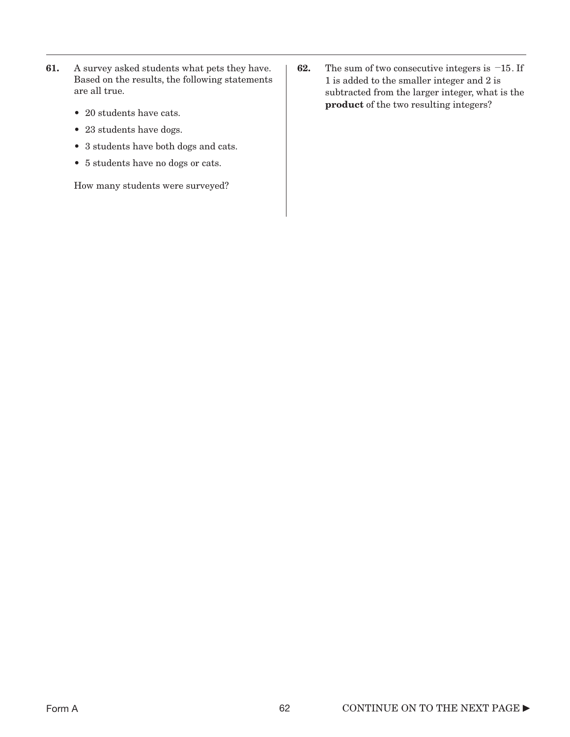- 61. A survey asked students what pets they have. Based on the results, the following statements are all true.
	- 20 students have cats.
	- 23 students have dogs.
	- 3 students have both dogs and cats.
	- 5 students have no dogs or cats.

How many students were surveyed?

**62.** The sum of two consecutive integers is  $-15$ . If 1 is added to the smaller integer and 2 is subtracted from the larger integer, what is the product of the two resulting integers?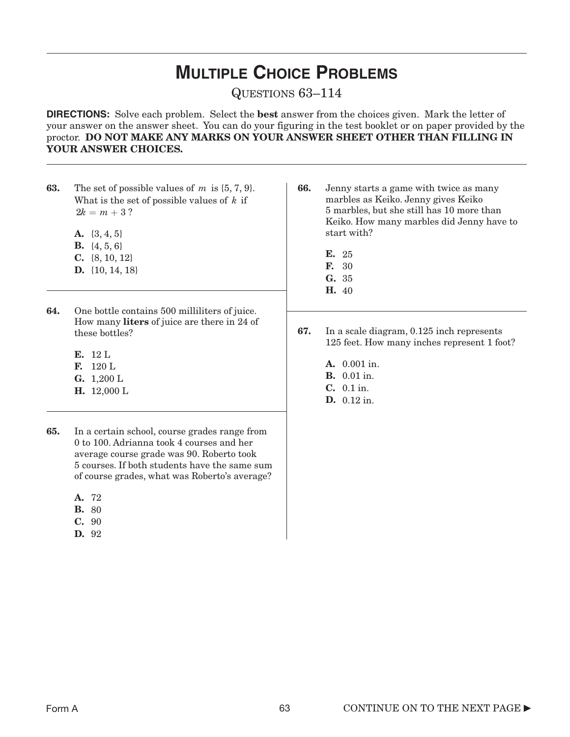## **MULTIPLE CHOICE PROBLEMS**

QUESTIONS 63–114

**DIRECTIONS:** Solve each problem. Select the best answer from the choices given. Mark the letter of your answer on the answer sheet. You can do your figuring in the test booklet or on paper provided by the proctor. DO NOT MAKE ANY MARKS ON YOUR ANSWER SHEET OTHER THAN FILLING IN YOUR ANSWER CHOICES.

- **63.** The set of possible values of  $m$  is  $\{5, 7, 9\}$ . What is the set of possible values of  $k$  if  $2k = m + 3$  ?
	- **A.**  $\{3, 4, 5\}$
	- **B.**  $\{4, 5, 6\}$
	- C. {8, 10, 12}
	- D. {10, 14, 18}
- 64. One bottle contains 500 milliliters of juice. How many liters of juice are there in 24 of these bottles?
	- E. 12 L
	- F.  $120 \text{ L}$  A.
	- **G.**  $1,200 \text{ L}$  **B.**
	- H. 12,000 L
- 65. In a certain school, course grades range from 0 to 100. Adrianna took 4 courses and her average course grade was 90. Roberto took 5 courses. If both students have the same sum of course grades, what was Roberto's average?
	- A. 72
	- B. 80
	- C. 90
	- D. 92
- 66. Jenny starts a game with twice as many marbles as Keiko. Jenny gives Keiko 5 marbles, but she still has 10 more than Keiko. How many marbles did Jenny have to start with?
	- E. 25 F. 30 G. 35 H. 40
- 67. In a scale diagram, 0.125 inch represents 125 feet. How many inches represent 1 foot?
	- C. 0.1 in. D. 0.12 in. A. 0.001 in. **B.** 0.01 in.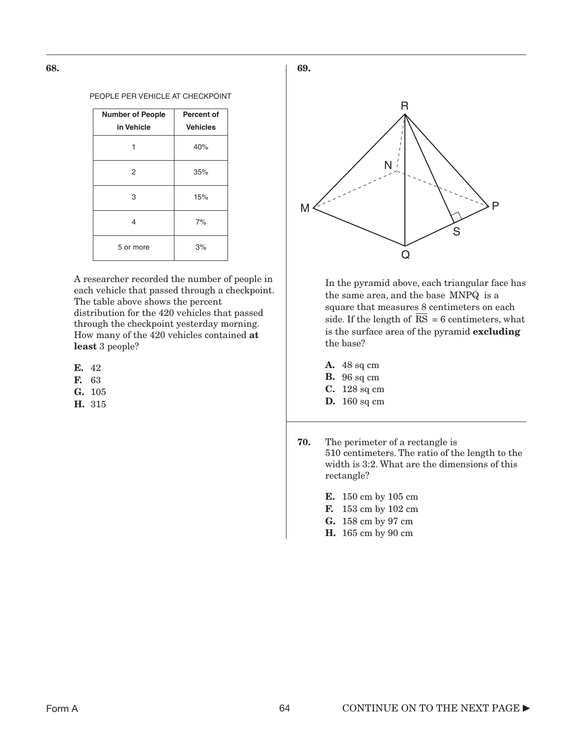68.

#### PEOPLE PER VEHICLE AT CHECKPOINT

| <b>Number of People</b> | Percent of      |
|-------------------------|-----------------|
| in Vehicle              | <b>Vehicles</b> |
|                         | 40%             |
| 2                       | 35%             |
| 3                       | 15%             |
| 4                       | 7%              |
| 5 or more               | 3%              |

A researcher recorded the number of people in each vehicle that passed through a checkpoint. The table above shows the percent distribution for the 420 vehicles that passed through the checkpoint yesterday morning. How many of the 420 vehicles contained at least 3 people?

- E. 42
- F. 63
- G. 105
- H. 315



In the pyramid above, each triangular face has the same area, and the base MNPQ is a square that measures 8 centimeters on each side. If the length of  $RS = 6$  centimeters, what is the surface area of the pyramid excluding the base?

- A. 48 sq cm
- **B.** 96 sq cm
- C. 128 sq cm
- **D.** 160 sq cm
- 70. The perimeter of a rectangle is 510 centimeters. The ratio of the length to the width is 3:2. What are the dimensions of this rectangle?
	- E. 150 cm by 105 cm
	- F. 153 cm by 102 cm
	- G. 158 cm by 97 cm
	- H. 165 cm by 90 cm

69.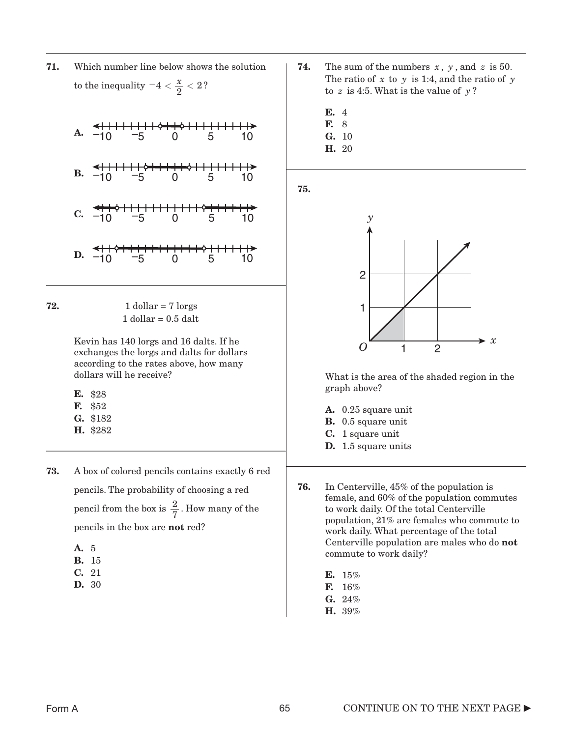71. Which number line below shows the solution to the inequality  $-4 < \frac{x}{2} < 2$ ?



**72.**  $1$  dollar = 7 lorgs  $1$  dollar =  $0.5$  dalt

> Kevin has 140 lorgs and 16 dalts. If he exchanges the lorgs and dalts for dollars according to the rates above, how many dollars will he receive?

E. \$28

- F. \$52
- G. \$182
- H. \$282
- 73. A box of colored pencils contains exactly 6 red pencils. The probability of choosing a red pencil from the box is  $\frac{2}{5}$ . How many of the pencils in the box are not red? 7
	- A. 5
	- B. 15
	- C. 21
	- D. 30
- **74.** The sum of the numbers  $x$ ,  $y$ , and  $z$  is 50. The ratio of x to y is 1:4, and the ratio of y to  $z$  is 4:5. What is the value of  $y$ ?
	- E. 4
	- F. 8 G. 10
	- H. 20

75.



What is the area of the shaded region in the graph above?

- A. 0.25 square unit
- **B.** 0.5 square unit
- C. 1 square unit
- D. 1.5 square units
- 76. In Centerville, 45% of the population is female, and 60% of the population commutes to work daily. Of the total Centerville population, 21% are females who commute to work daily. What percentage of the total Centerville population are males who do not commute to work daily?
	- E. 15%
	- F. 16%
	- G. 24%
	- H. 39%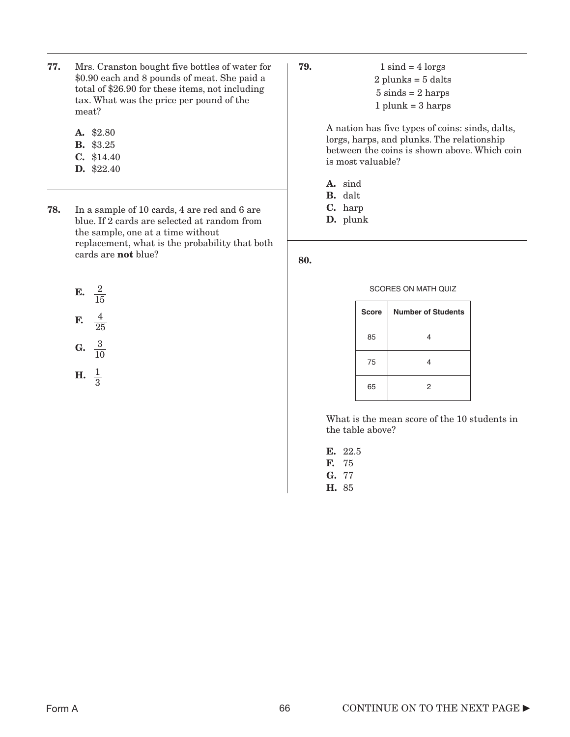- 77. Mrs. Cranston bought five bottles of water for \$0.90 each and 8 pounds of meat. She paid a total of \$26.90 for these items, not including tax. What was the price per pound of the meat?
	- A. \$2.80
	- B. \$3.25
	- C. \$14.40
	- D. \$22.40
- 78. In a sample of 10 cards, 4 are red and 6 are blue. If 2 cards are selected at random from the sample, one at a time without replacement, what is the probability that both cards are not blue?

$$
E. \quad \frac{2}{15}
$$

$$
F. \quad \frac{4}{25}
$$

$$
G. \ \ \frac{3}{10}
$$

$$
H. \ \frac{1}{3}
$$

**79.**  $1 \text{ sind} = 4 \text{ lorges}$  $2$  plunks =  $5$  dalts  $5 \text{ sinds} = 2 \text{ harps}$  $1$  plunk =  $3$  harps

> A nation has five types of coins: sinds, dalts, lorgs, harps, and plunks. The relationship between the coins is shown above. Which coin is most valuable?

- A. sind
- B. dalt
- C. harp
- D. plunk

80.

#### SCORES ON MATH QUIZ

| <b>Score</b> | <b>Number of Students</b> |
|--------------|---------------------------|
| 85           | 4                         |
| 75           | 4                         |
| 65           | 2                         |

What is the mean score of the 10 students in the table above?

E. 22.5 F. 75 G. 77 H. 85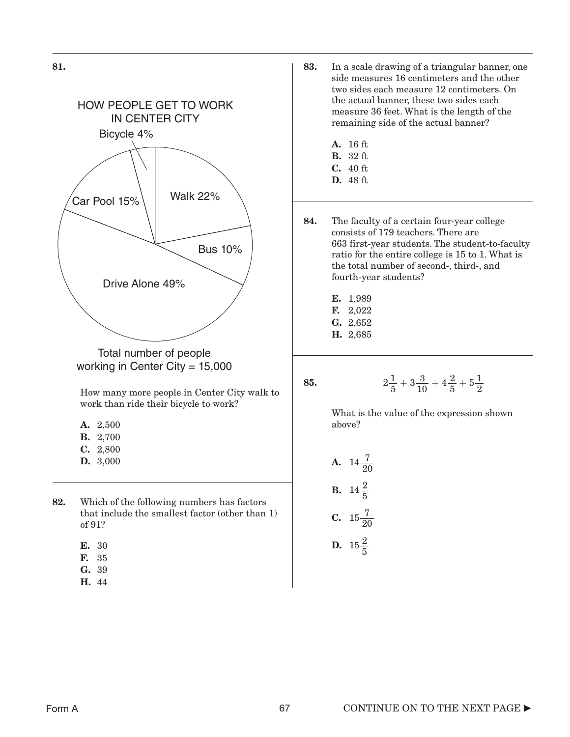



- E. 30
- F. 35
- G. 39
- H. 44
- 83. In a scale drawing of a triangular banner, one side measures 16 centimeters and the other two sides each measure 12 centimeters. On the actual banner, these two sides each measure 36 feet. What is the length of the remaining side of the actual banner?
	- A. 16 ft
	- B. 32 ft
	- C. 40 ft
	- D. 48 ft
- 84. The faculty of a certain four-year college consists of 179 teachers. There are 663 first-year students. The student-to-faculty ratio for the entire college is 15 to 1. What is the total number of second-, third-, and fourth-year students?
	- E. 1,989
	- F. 2,022
	- G. 2,652
	- H. 2,685
- 85.

$$
2\frac{1}{5} + 3\frac{3}{10} + 4\frac{2}{5} + 5\frac{1}{2}
$$

What is the value of the expression shown above?

**A.** 
$$
14\frac{7}{20}
$$
  
**B.**  $14\frac{2}{5}$   
**C.**  $15\frac{7}{20}$   
**D.**  $15\frac{2}{5}$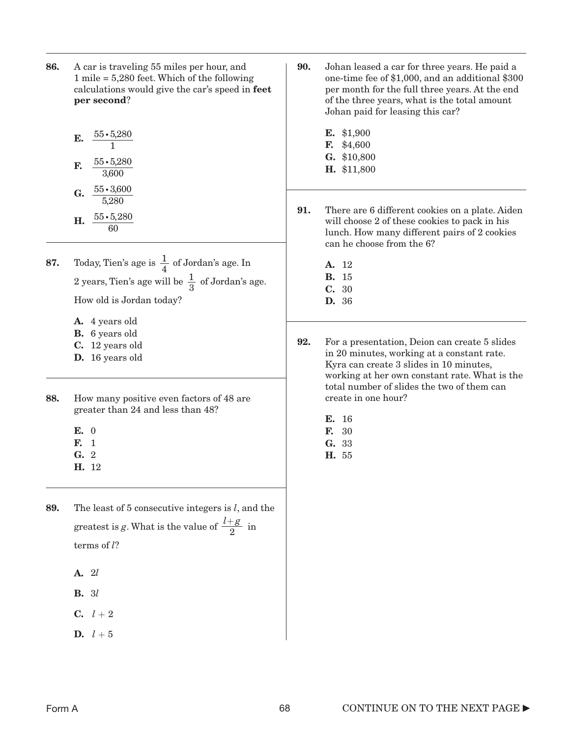- 86. A car is traveling 55 miles per hour, and 1 mile = 5,280 feet. Which of the following calculations would give the car's speed in feet per second?
	- **E.**  $\frac{55 \cdot 5{,}280}{1}$

1

- **F.**  $\frac{55 \cdot 5{,}280}{3{,}600}$ 3,600
- G.  $\frac{55 \cdot 3,600}{5000}$ **H.**  $\frac{55 \cdot 5,280}{60}$ 5,280 60
- **87.** Today, Tien's age is  $\frac{1}{4}$  of Jordan's age. In 2 years, Tien's age will be  $\frac{1}{2}$  of Jordan's age. How old is Jordan today? 4 3
	- A. 4 years old
	- B. 6 years old
	- C. 12 years old
	- D. 16 years old
- 88. How many positive even factors of 48 are greater than 24 and less than 48?
	- E. 0
	- F. 1
	- G. 2
	- H. 12
- 89. The least of 5 consecutive integers is *l*, and the greatest is g. What is the value of  $\frac{l+g}{g}$  in terms of *l*? 2
	- A. 2*l*
	- B. 3*l*
	- $C. \t l + 2$
	- **D.**  $l + 5$
- 90. Johan leased a car for three years. He paid a one-time fee of \$1,000, and an additional \$300 per month for the full three years. At the end of the three years, what is the total amount Johan paid for leasing this car?
	- E. \$1,900 F. \$4,600 G. \$10,800 H. \$11,800
- 91. There are 6 different cookies on a plate. Aiden will choose 2 of these cookies to pack in his lunch. How many different pairs of 2 cookies can he choose from the 6?
	- A. 12 B. 15 C. 30 D. 36
- 92. For a presentation, Deion can create 5 slides in 20 minutes, working at a constant rate. Kyra can create 3 slides in 10 minutes, working at her own constant rate. What is the total number of slides the two of them can create in one hour?
	- E. 16
	- F. 30
	- G. 33
	- H. 55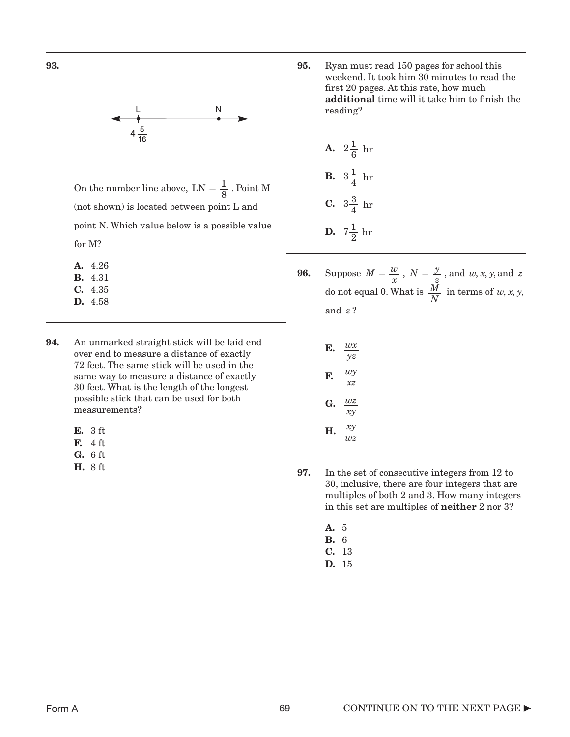93.



On the number line above,  $LN = \frac{1}{8}$ . Point M (not shown) is located between point L and point N. Which value below is a possible value for M?

- A. 4.26 B. 4.31 C. 4.35 D. 4.58
- 94. An unmarked straight stick will be laid end over end to measure a distance of exactly 72 feet. The same stick will be used in the same way to measure a distance of exactly 30 feet. What is the length of the longest possible stick that can be used for both measurements?
	- E. 3 ft
	- F. 4 ft
	- G. 6 ft
	- H. 8 ft

95. Ryan must read 150 pages for school this weekend. It took him 30 minutes to read the first 20 pages. At this rate, how much additional time will it take him to finish the reading?

**A.** 
$$
2\frac{1}{6}
$$
 hr  
\n**B.**  $3\frac{1}{4}$  hr  
\n**C.**  $3\frac{3}{4}$  hr  
\n**D.**  $7\frac{1}{2}$  hr

**96.** Suppose  $M = \frac{w}{q}$ ,  $N = \frac{y}{q}$ , and  $w, x, y$  and do not equal 0. What is  $\frac{M}{N}$  in terms of and ? *z*  $M = \frac{w}{x}$ ,  $N = \frac{y}{z}$ , and  $w, x, y$ , and  $z$  $\frac{M}{N}$  in terms of  $w, x, y$ ,

| Е. | wx<br>νz        |
|----|-----------------|
| F. | wy<br>xz        |
| G. | wz<br>$x\gamma$ |
| Н. | ху<br>wz        |

- 97. In the set of consecutive integers from 12 to 30, inclusive, there are four integers that are multiples of both 2 and 3. How many integers in this set are multiples of neither 2 nor 3?
	- A. 5
	- B. 6
	- C. 13 D. 15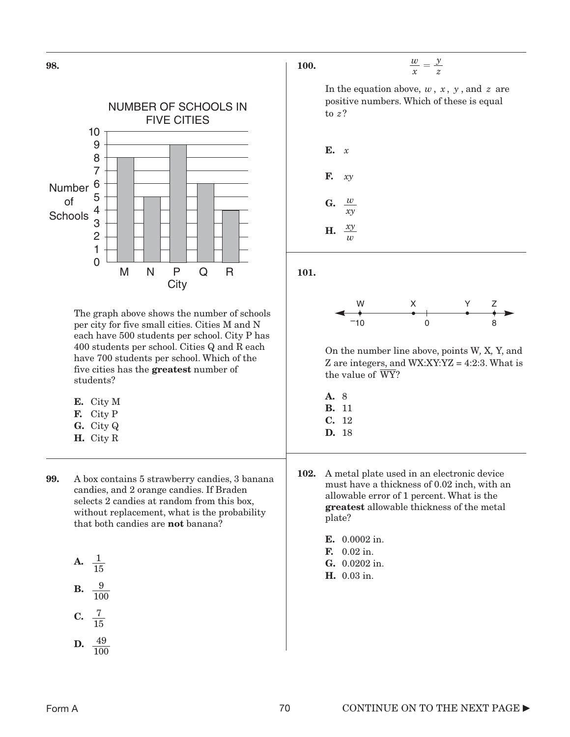

- H. City R
- 99. A box contains 5 strawberry candies, 3 banana candies, and 2 orange candies. If Braden selects 2 candies at random from this box, without replacement, what is the probability that both candies are **not** banana?

**A.** 
$$
\frac{1}{15}
$$
  
**B.**  $\frac{9}{100}$   
**C.**  $\frac{7}{15}$   
**D.** 49

D.  $\frac{49}{100}$ 

100.

$$
\frac{w}{x} = \frac{y}{z}
$$

In the equation above,  $w, x, y$ , and  $z$  are positive numbers. Which of these is equal to ? *z*



101.



On the number line above, points W*,* X*,* Y, and Z are integers, and  $WX:XY:YZ = 4:2:3$ . What is the value of WY?

- A. 8 B. 11 C. 12 D. 18
- 102. A metal plate used in an electronic device must have a thickness of 0.02 inch, with an allowable error of 1 percent. What is the greatest allowable thickness of the metal plate?
	- E. 0.0002 in.
	- F. 0.02 in.
	- G. 0.0202 in.
	- H. 0.03 in.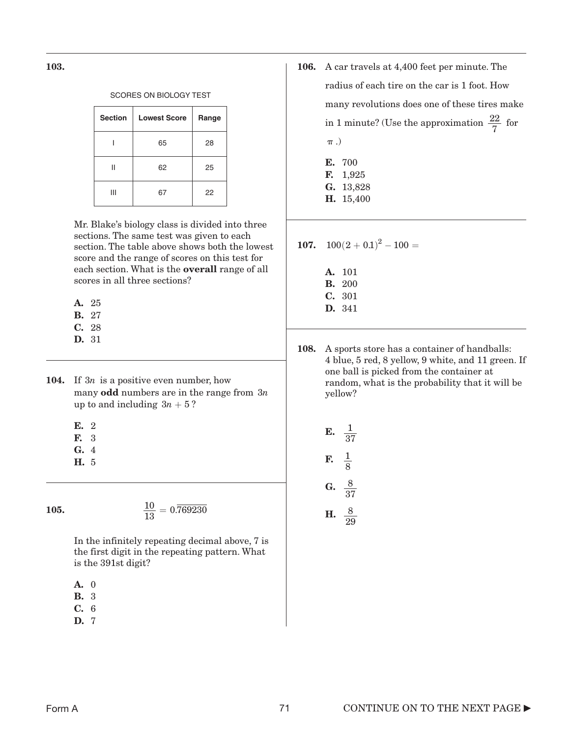103.

#### SCORES ON BIOLOGY TEST

| <b>Section</b> | <b>Lowest Score</b> | Range |
|----------------|---------------------|-------|
|                | 65                  | 28    |
| Н              | 62                  | 25    |
| Ш              | 67                  | 22    |

Mr. Blake's biology class is divided into three sections. The same test was given to each section. The table above shows both the lowest score and the range of scores on this test for each section. What is the overall range of all scores in all three sections?

- A. 25
- B. 27
- C. 28
- D. 31
- **104.** If  $3n$  is a positive even number, how many odd numbers are in the range from 3*n*  $up to and including 3n + 5?$ 
	- E. 2
	- F. 3
	- G. 4
	- H. 5

105.

$$
\frac{10}{13} = 0.\overline{769230}
$$

In the infinitely repeating decimal above, 7 is the first digit in the repeating pattern. What is the 391st digit?

- A. 0
- B. 3
- C. 6
- D. 7
- 106. A car travels at 4,400 feet per minute. The radius of each tire on the car is 1 foot. How many revolutions does one of these tires make in 1 minute? (Use the approximation  $\frac{22}{5}$  for  $\pi$  .) 7 E. 700 F. 1,925
	- G. 13,828 H. 15,400
- 107.  $100(2+0.1)^2-100=$ 
	- A. 101 B. 200 C. 301 D. 341
- 108. A sports store has a container of handballs: 4 blue, 5 red, 8 yellow, 9 white, and 11 green. If one ball is picked from the container at random, what is the probability that it will be yellow?

**E.** 
$$
\frac{1}{37}
$$
  
\n**F.**  $\frac{1}{8}$   
\n**G.**  $\frac{8}{37}$   
\n**H.**  $\frac{8}{29}$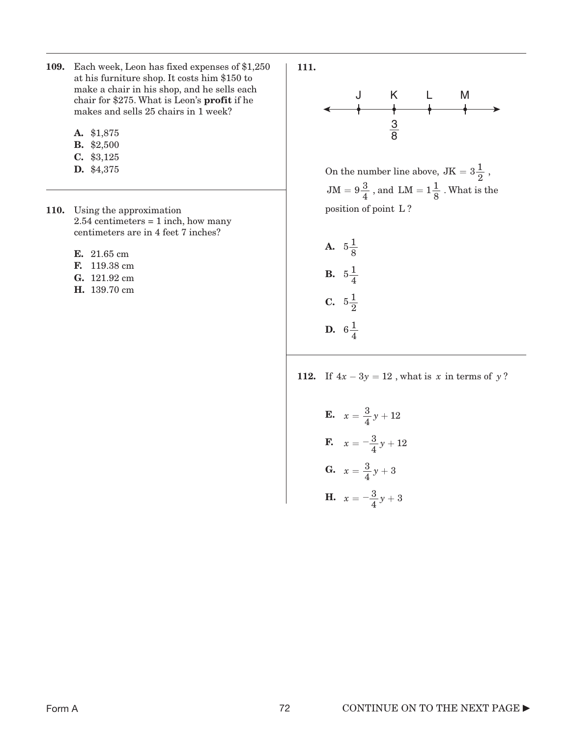- 109. Each week, Leon has fixed expenses of \$1,250 at his furniture shop. It costs him \$150 to make a chair in his shop, and he sells each chair for \$275. What is Leon's profit if he makes and sells 25 chairs in 1 week?
	- A. \$1,875
	- B. \$2,500
	- C. \$3,125
	- D. \$4,375
- 110. Using the approximation 2.54 centimeters = 1 inch, how many centimeters are in 4 feet 7 inches?
	- E. 21.65 cm
	- F. 119.38 cm
	- **G.** 121.92 cm **B.**
	- H. 139.70 cm





On the number line above,  $JK = 3\frac{1}{2}$ ,  $JM = 9\frac{3}{4}$ , and  $LM = 1\frac{1}{8}$ . What is the position of point L?

A.  $5\frac{1}{8}$ **C.**  $5\frac{1}{2}$ **D.**  $6\frac{1}{4}$  $5\frac{1}{4}$ 

112. If  $4x - 3y = 12$ , what is *x* in terms of *y*?

**E.**  $x = \frac{3}{4}y + 12$ **F.**  $x = -\frac{3}{4}y + 12$ **G.**  $x = \frac{3}{4}y + 3$ **H.**  $x = -\frac{3}{4}y + 3$